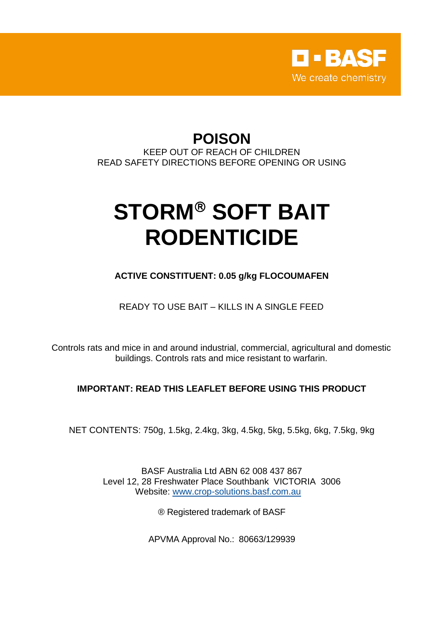

## **POISON**

KEEP OUT OF REACH OF CHILDREN READ SAFETY DIRECTIONS BEFORE OPENING OR USING

# **STORM® SOFT BAIT RODENTICIDE**

**ACTIVE CONSTITUENT: 0.05 g/kg FLOCOUMAFEN**

READY TO USE BAIT – KILLS IN A SINGLE FEED

Controls rats and mice in and around industrial, commercial, agricultural and domestic buildings. Controls rats and mice resistant to warfarin.

### **IMPORTANT: READ THIS LEAFLET BEFORE USING THIS PRODUCT**

NET CONTENTS: 750g, 1.5kg, 2.4kg, 3kg, 4.5kg, 5kg, 5.5kg, 6kg, 7.5kg, 9kg

BASF Australia Ltd ABN 62 008 437 867 Level 12, 28 Freshwater Place Southbank VICTORIA 3006 Website: [www.crop-solutions.basf.com.au](http://www.crop-solutions.basf.com.au/)

® Registered trademark of BASF

APVMA Approval No.: 80663/129939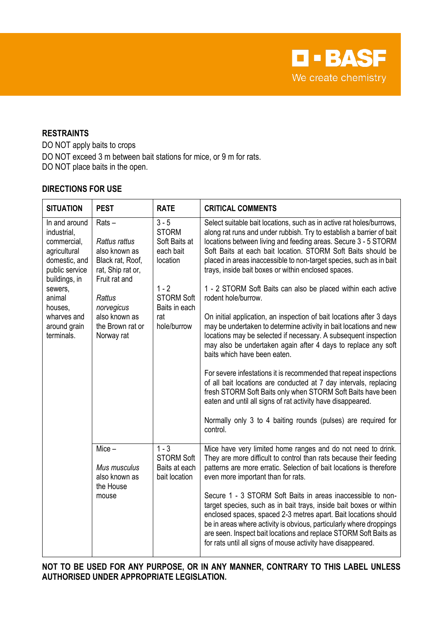**D-BASF** We create chemistry

#### **RESTRAINTS**

DO NOT apply baits to crops DO NOT exceed 3 m between bait stations for mice, or 9 m for rats. DO NOT place baits in the open.

#### **DIRECTIONS FOR USE**

| <b>SITUATION</b>                                                                                                                                                                             | <b>PEST</b>                                                                                                                                                                     | <b>RATE</b>                                                                                                                              | <b>CRITICAL COMMENTS</b>                                                                                                                                                                                                                                                                                                                                                                                                                                                                                                                                                                                                                                                                                                                                                                                                                                                                                                                                                                                                                                                                                                                                                  |
|----------------------------------------------------------------------------------------------------------------------------------------------------------------------------------------------|---------------------------------------------------------------------------------------------------------------------------------------------------------------------------------|------------------------------------------------------------------------------------------------------------------------------------------|---------------------------------------------------------------------------------------------------------------------------------------------------------------------------------------------------------------------------------------------------------------------------------------------------------------------------------------------------------------------------------------------------------------------------------------------------------------------------------------------------------------------------------------------------------------------------------------------------------------------------------------------------------------------------------------------------------------------------------------------------------------------------------------------------------------------------------------------------------------------------------------------------------------------------------------------------------------------------------------------------------------------------------------------------------------------------------------------------------------------------------------------------------------------------|
| In and around<br>industrial,<br>commercial,<br>agricultural<br>domestic, and<br>public service<br>buildings, in<br>sewers,<br>animal<br>houses,<br>wharves and<br>around grain<br>terminals. | $Rats -$<br>Rattus rattus<br>also known as<br>Black rat, Roof,<br>rat, Ship rat or,<br>Fruit rat and<br>Rattus<br>norvegicus<br>also known as<br>the Brown rat or<br>Norway rat | $3 - 5$<br><b>STORM</b><br>Soft Baits at<br>each bait<br>location<br>$1 - 2$<br><b>STORM Soft</b><br>Baits in each<br>rat<br>hole/burrow | Select suitable bait locations, such as in active rat holes/burrows,<br>along rat runs and under rubbish. Try to establish a barrier of bait<br>locations between living and feeding areas. Secure 3 - 5 STORM<br>Soft Baits at each bait location. STORM Soft Baits should be<br>placed in areas inaccessible to non-target species, such as in bait<br>trays, inside bait boxes or within enclosed spaces.<br>1 - 2 STORM Soft Baits can also be placed within each active<br>rodent hole/burrow.<br>On initial application, an inspection of bait locations after 3 days<br>may be undertaken to determine activity in bait locations and new<br>locations may be selected if necessary. A subsequent inspection<br>may also be undertaken again after 4 days to replace any soft<br>baits which have been eaten.<br>For severe infestations it is recommended that repeat inspections<br>of all bait locations are conducted at 7 day intervals, replacing<br>fresh STORM Soft Baits only when STORM Soft Baits have been<br>eaten and until all signs of rat activity have disappeared.<br>Normally only 3 to 4 baiting rounds (pulses) are required for<br>control. |
|                                                                                                                                                                                              | $Mice -$<br>Mus musculus<br>also known as<br>the House<br>mouse                                                                                                                 | $1 - 3$<br><b>STORM Soft</b><br>Baits at each<br>bait location                                                                           | Mice have very limited home ranges and do not need to drink.<br>They are more difficult to control than rats because their feeding<br>patterns are more erratic. Selection of bait locations is therefore<br>even more important than for rats.<br>Secure 1 - 3 STORM Soft Baits in areas inaccessible to non-<br>target species, such as in bait trays, inside bait boxes or within<br>enclosed spaces, spaced 2-3 metres apart. Bait locations should<br>be in areas where activity is obvious, particularly where droppings<br>are seen. Inspect bait locations and replace STORM Soft Baits as<br>for rats until all signs of mouse activity have disappeared.                                                                                                                                                                                                                                                                                                                                                                                                                                                                                                        |

**NOT TO BE USED FOR ANY PURPOSE, OR IN ANY MANNER, CONTRARY TO THIS LABEL UNLESS AUTHORISED UNDER APPROPRIATE LEGISLATION.**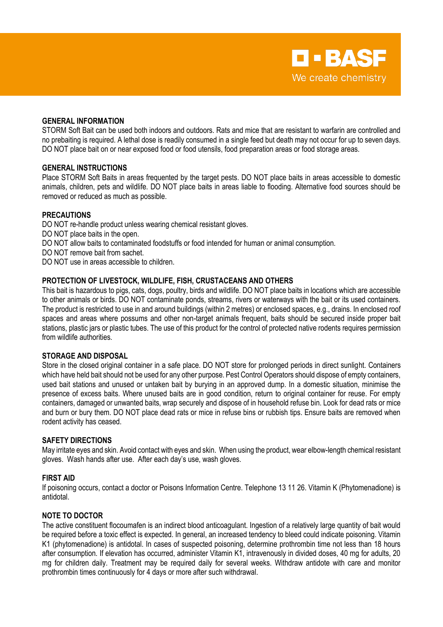#### **GENERAL INFORMATION**

STORM Soft Bait can be used both indoors and outdoors. Rats and mice that are resistant to warfarin are controlled and no prebaiting is required. A lethal dose is readily consumed in a single feed but death may not occur for up to seven days. DO NOT place bait on or near exposed food or food utensils, food preparation areas or food storage areas.

#### **GENERAL INSTRUCTIONS**

Place STORM Soft Baits in areas frequented by the target pests. DO NOT place baits in areas accessible to domestic animals, children, pets and wildlife. DO NOT place baits in areas liable to flooding. Alternative food sources should be removed or reduced as much as possible.

#### **PRECAUTIONS**

DO NOT re-handle product unless wearing chemical resistant gloves. DO NOT place baits in the open. DO NOT allow baits to contaminated foodstuffs or food intended for human or animal consumption. DO NOT remove bait from sachet. DO NOT use in areas accessible to children.

#### **PROTECTION OF LIVESTOCK, WILDLIFE, FISH, CRUSTACEANS AND OTHERS**

This bait is hazardous to pigs, cats, dogs, poultry, birds and wildlife. DO NOT place baits in locations which are accessible to other animals or birds. DO NOT contaminate ponds, streams, rivers or waterways with the bait or its used containers. The product is restricted to use in and around buildings (within 2 metres) or enclosed spaces, e.g., drains. In enclosed roof spaces and areas where possums and other non-target animals frequent, baits should be secured inside proper bait stations, plastic jars or plastic tubes. The use of this product for the control of protected native rodents requires permission from wildlife authorities.

#### **STORAGE AND DISPOSAL**

Store in the closed original container in a safe place. DO NOT store for prolonged periods in direct sunlight. Containers which have held bait should not be used for any other purpose. Pest Control Operators should dispose of empty containers, used bait stations and unused or untaken bait by burying in an approved dump. In a domestic situation, minimise the presence of excess baits. Where unused baits are in good condition, return to original container for reuse. For empty containers, damaged or unwanted baits, wrap securely and dispose of in household refuse bin. Look for dead rats or mice and burn or bury them. DO NOT place dead rats or mice in refuse bins or rubbish tips. Ensure baits are removed when rodent activity has ceased.

#### **SAFETY DIRECTIONS**

May irritate eyes and skin. Avoid contact with eyes and skin. When using the product, wear elbow-length chemical resistant gloves. Wash hands after use. After each day's use, wash gloves.

#### **FIRST AID**

If poisoning occurs, contact a doctor or Poisons Information Centre. Telephone 13 11 26. Vitamin K (Phytomenadione) is antidotal.

#### **NOTE TO DOCTOR**

The active constituent flocoumafen is an indirect blood anticoagulant. Ingestion of a relatively large quantity of bait would be required before a toxic effect is expected. In general, an increased tendency to bleed could indicate poisoning. Vitamin K1 (phytomenadione) is antidotal. In cases of suspected poisoning, determine prothrombin time not less than 18 hours after consumption. If elevation has occurred, administer Vitamin K1, intravenously in divided doses, 40 mg for adults, 20 mg for children daily. Treatment may be required daily for several weeks. Withdraw antidote with care and monitor prothrombin times continuously for 4 days or more after such withdrawal.